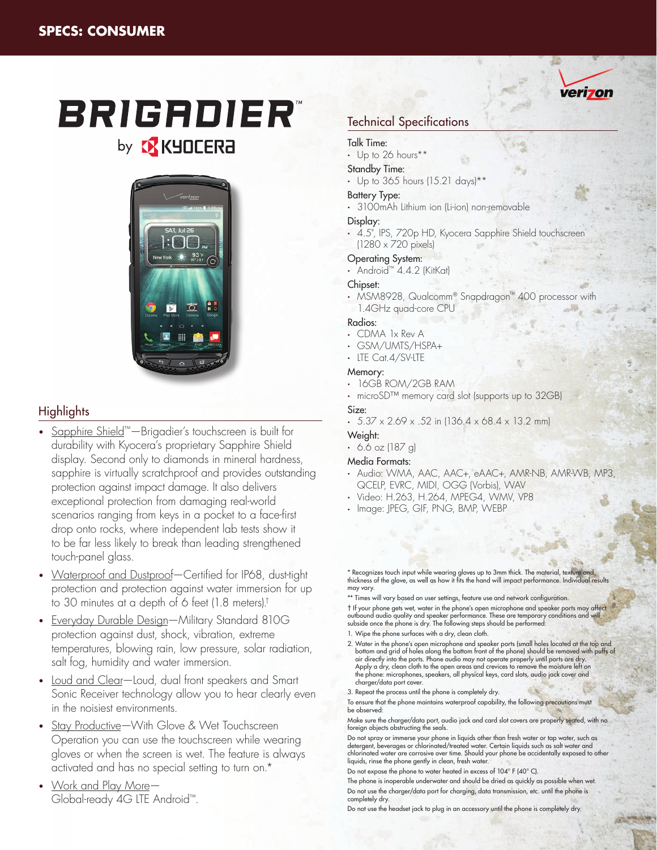# **BRIGADIER** by **& KYOCERA**



# Highlights

- Sapphire Shield™—Brigadier's touchscreen is built for durability with Kyocera's proprietary Sapphire Shield display. Second only to diamonds in mineral hardness, sapphire is virtually scratchproof and provides outstanding protection against impact damage. It also delivers exceptional protection from damaging real-world scenarios ranging from keys in a pocket to a face-first drop onto rocks, where independent lab tests show it to be far less likely to break than leading strengthened touch-panel glass.
- Waterproof and Dustproof-Certified for IP68, dust-tight protection and protection against water immersion for up to 30 minutes at a depth of 6 feet (1.8 meters).†
- Everyday Durable Design—Military Standard 810G protection against dust, shock, vibration, extreme temperatures, blowing rain, low pressure, solar radiation, salt fog, humidity and water immersion.
- Loud and Clear-Loud, dual front speakers and Smart Sonic Receiver technology allow you to hear clearly even in the noisiest environments.
- Stay Productive-With Glove & Wet Touchscreen Operation you can use the touchscreen while wearing gloves or when the screen is wet. The feature is always activated and has no special setting to turn on.\*
- Work and Play More-Global-ready 4G LTE Android™.

# Technical Specifications

#### Talk Time:

• Up to 26 hours\*\*

#### Standby Time:

• Up to 365 hours (15.21 days)\*\*

#### Battery Type:

• 3100mAh Lithium ion (Li-ion) non-removable

#### Display:

• 4.5", IPS, 720p HD, Kyocera Sapphire Shield touchscreen (1280 x 720 pixels)

## Operating System:

• Android™ 4.4.2 (KitKat)

#### Chipset:

• MSM8928, Qualcomm® Snapdragon™ 400 processor with 1.4GHz quad-core CPU

#### Radios:

- CDMA 1x Rev A
- GSM/UMTS/HSPA+
- LTE Cat.4/SV-LTE

## Memory:

- 16GB ROM/2GB RAM
- microSD™ memory card slot (supports up to 32GB)

## Size:

 $\cdot$  5.37 x 2.69 x .52 in (136.4 x 68.4 x 13.2 mm)

#### Weight:

 $-6.6$  oz (187 g)

#### Media Formats:

- Audio: WMA, AAC, AAC+, eAAC+, AMR-NB, AMR-WB, MP3, QCELP, EVRC, MIDI, OGG (Vorbis), WAV
- Video: H.263, H.264, MPEG4, WMV, VP8
- Image: JPEG, GIF, PNG, BMP, WEBP

\* Recognizes touch input while wearing gloves up to 3mm thick. The material, texture and thickness of the glove, as well as how it fits the hand will impact performance. Individual results may vary.

\*\* Times will vary based on user settings, feature use and network configuration. † If your phone gets wet, water in the phone's open microphone and speaker ports may affect outbound audio quality and speaker performance. These are temporary conditions and will subside once the phone is dry. The following steps should be performed: 1. Wipe the phone surfaces with a dry, clean cloth.

- 2. Water in the phone's open microphone and speaker ports (small holes located at the top and bottom and grid of holes along the bottom front of the phone) should be removed with puffs of air directly into the ports. Phone audio may not operate properly until ports are dry. Apply a dry, clean cloth to the open areas and crevices to remove the moisture left on the phone: microphones, speakers, all physical keys, card slots, audio jack cover and charger/data port cover.
- 3. Repeat the process until the phone is completely dry.
- To ensure that the phone maintains waterproof capability, the following precautions must be observed:

Make sure the charger/data port, audio jack and card slot covers are properly seated, with no foreign objects obstructing the seals.

Do not spray or immerse your phone in liquids other than fresh water or tap water, such as detergent, beverages or chlorinated/treated water. Certain liquids such as salt water and chlorinated water are corrosive over time. Should your phone be accidentally exposed to other liquids, rinse the phone gently in clean, fresh water.

Do not expose the phone to water heated in excess of 104° F (40° C).

The phone is inoperable underwater and should be dried as quickly as possible when wet. Do not use the charger/data port for charging, data transmission, etc. until the phone is completely dry.

Do not use the headset jack to plug in an accessory until the phone is completely dry.